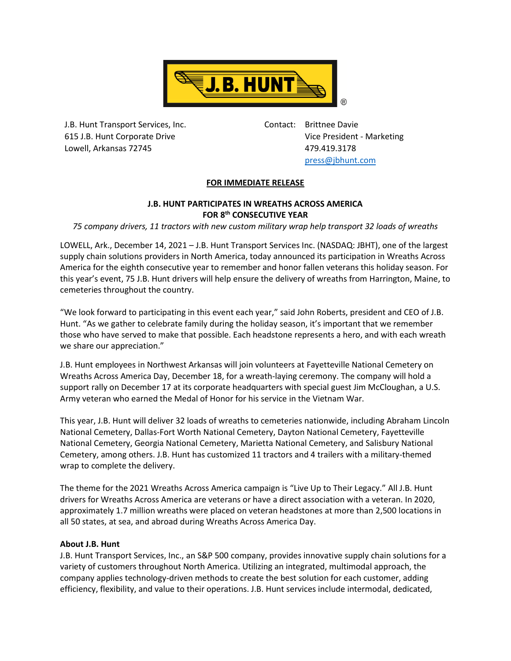

J.B. Hunt Transport Services, Inc. 615 J.B. Hunt Corporate Drive Lowell, Arkansas 72745

Contact: Brittnee Davie Vice President - Marketing 479.419.3178 [press@jbhunt.com](mailto:press@jbhunt.com)

## **FOR IMMEDIATE RELEASE**

## **J.B. HUNT PARTICIPATES IN WREATHS ACROSS AMERICA FOR 8 th CONSECUTIVE YEAR**

*75 company drivers, 11 tractors with new custom military wrap help transport 32 loads of wreaths*

LOWELL, Ark., December 14, 2021 – J.B. Hunt Transport Services Inc. (NASDAQ: JBHT), one of the largest supply chain solutions providers in North America, today announced its participation in Wreaths Across America for the eighth consecutive year to remember and honor fallen veterans this holiday season. For this year's event, 75 J.B. Hunt drivers will help ensure the delivery of wreaths from Harrington, Maine, to cemeteries throughout the country.

"We look forward to participating in this event each year," said John Roberts, president and CEO of J.B. Hunt. "As we gather to celebrate family during the holiday season, it's important that we remember those who have served to make that possible. Each headstone represents a hero, and with each wreath we share our appreciation."

J.B. Hunt employees in Northwest Arkansas will join volunteers at Fayetteville National Cemetery on Wreaths Across America Day, December 18, for a wreath-laying ceremony. The company will hold a support rally on December 17 at its corporate headquarters with special guest Jim McCloughan, a U.S. Army veteran who earned the Medal of Honor for his service in the Vietnam War.

This year, J.B. Hunt will deliver 32 loads of wreaths to cemeteries nationwide, including Abraham Lincoln National Cemetery, Dallas-Fort Worth National Cemetery, Dayton National Cemetery, Fayetteville National Cemetery, Georgia National Cemetery, Marietta National Cemetery, and Salisbury National Cemetery, among others. J.B. Hunt has customized 11 tractors and 4 trailers with a military-themed wrap to complete the delivery.

The theme for the 2021 Wreaths Across America campaign is "Live Up to Their Legacy." All J.B. Hunt drivers for Wreaths Across America are veterans or have a direct association with a veteran. In 2020, approximately 1.7 million wreaths were placed on veteran headstones at more than 2,500 locations in all 50 states, at sea, and abroad during Wreaths Across America Day.

## **About J.B. Hunt**

J.B. Hunt Transport Services, Inc., an S&P 500 company, provides innovative supply chain solutions for a variety of customers throughout North America. Utilizing an integrated, multimodal approach, the company applies technology-driven methods to create the best solution for each customer, adding efficiency, flexibility, and value to their operations. J.B. Hunt services include intermodal, dedicated,